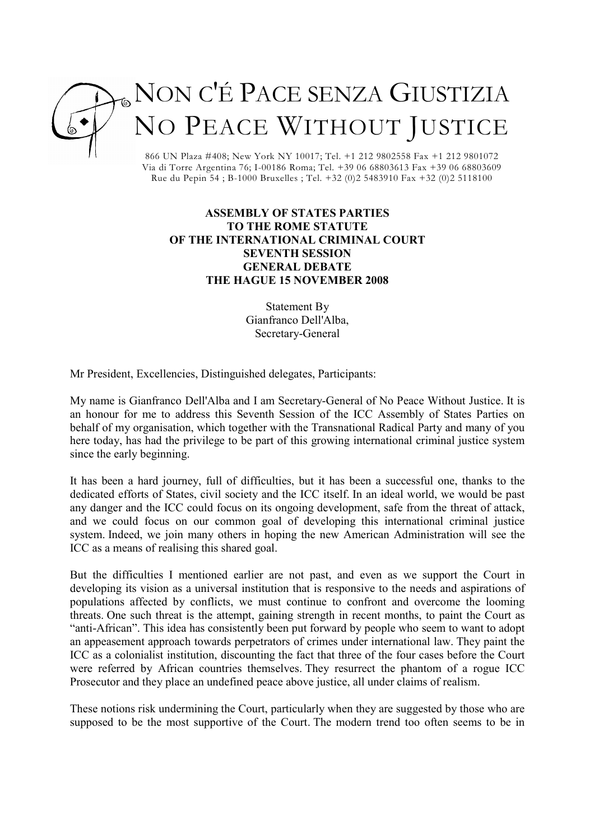

866 UN Plaza #408; New York NY 10017; Tel. +1 212 9802558 Fax +1 212 9801072 Via di Torre Argentina 76; I-00186 Roma; Tel. +39 06 68803613 Fax +39 06 68803609 Rue du Pepin 54 ; B-1000 Bruxelles ; Tel. +32 (0)2 5483910 Fax +32 (0)2 5118100

## ASSEMBLY OF STATES PARTIES TO THE ROME STATUTE OF THE INTERNATIONAL CRIMINAL COURT SEVENTH SESSION GENERAL DEBATE THE HAGUE 15 NOVEMBER 2008

Statement By Gianfranco Dell'Alba, Secretary-General

Mr President, Excellencies, Distinguished delegates, Participants:

My name is Gianfranco Dell'Alba and I am Secretary-General of No Peace Without Justice. It is an honour for me to address this Seventh Session of the ICC Assembly of States Parties on behalf of my organisation, which together with the Transnational Radical Party and many of you here today, has had the privilege to be part of this growing international criminal justice system since the early beginning.

It has been a hard journey, full of difficulties, but it has been a successful one, thanks to the dedicated efforts of States, civil society and the ICC itself. In an ideal world, we would be past any danger and the ICC could focus on its ongoing development, safe from the threat of attack, and we could focus on our common goal of developing this international criminal justice system. Indeed, we join many others in hoping the new American Administration will see the ICC as a means of realising this shared goal.

But the difficulties I mentioned earlier are not past, and even as we support the Court in developing its vision as a universal institution that is responsive to the needs and aspirations of populations affected by conflicts, we must continue to confront and overcome the looming threats. One such threat is the attempt, gaining strength in recent months, to paint the Court as "anti-African". This idea has consistently been put forward by people who seem to want to adopt an appeasement approach towards perpetrators of crimes under international law. They paint the ICC as a colonialist institution, discounting the fact that three of the four cases before the Court were referred by African countries themselves. They resurrect the phantom of a rogue ICC Prosecutor and they place an undefined peace above justice, all under claims of realism.

These notions risk undermining the Court, particularly when they are suggested by those who are supposed to be the most supportive of the Court. The modern trend too often seems to be in